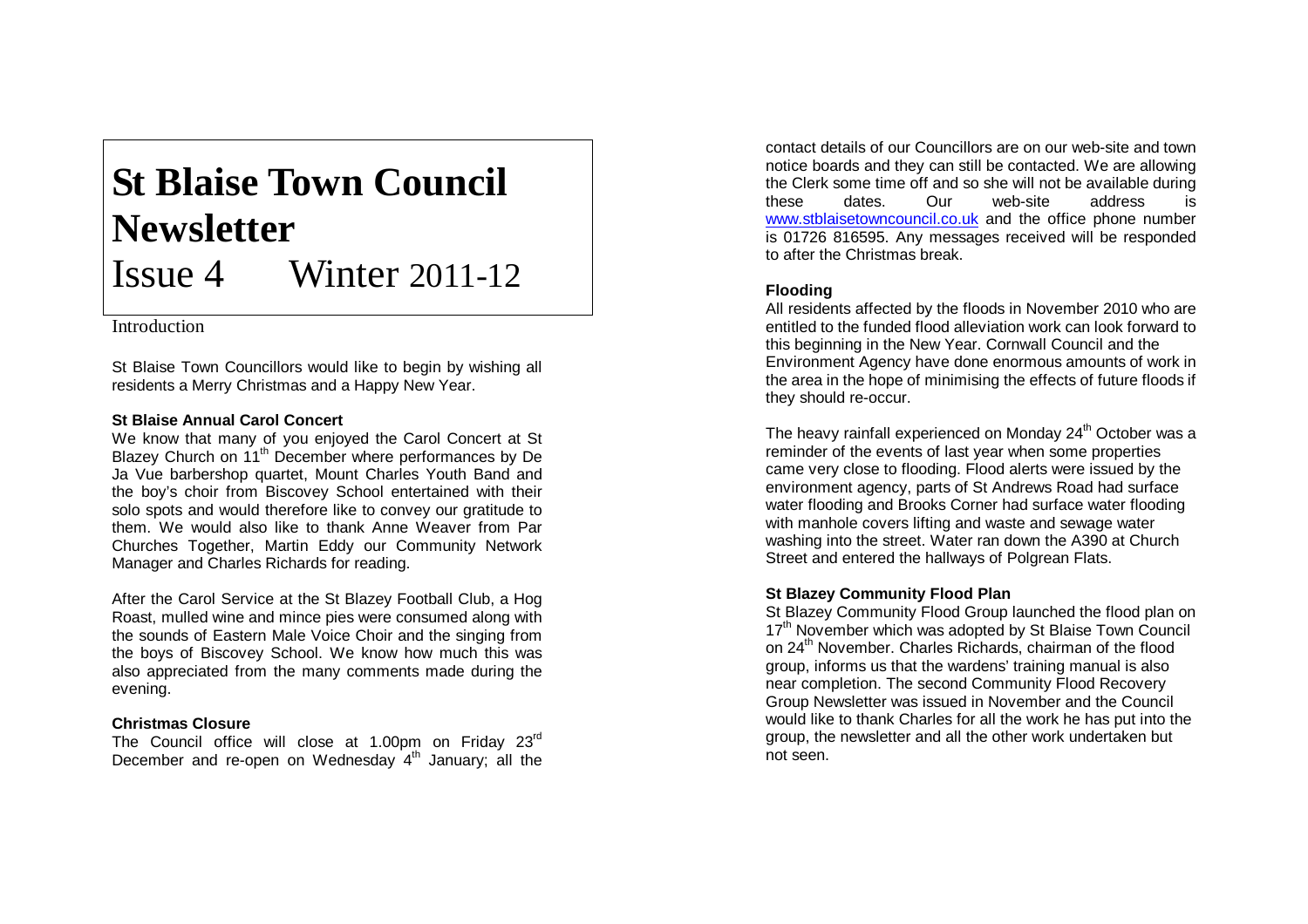# **St Blaise Town Council Newsletter** Issue 4 Winter 2011 -12

Introduction

St Blaise Town Councillors would like to begin by wishing all residents a Merry Christmas and a Happy New Year.

## **St Blaise Annual Carol Concert**

We know that many of you enjoyed the Carol Concert at St Blazey Church on 11<sup>th</sup> December where performances by De Ja Vue barbershop quartet, Mount Charles Youth Band and the boy's choir from Biscovey School entertained with their solo spots and would therefore like to convey our gratitude to them. We would also like to thank Anne Weaver from Par Churches Together, Martin Eddy our Community Network Manager and Charles Richards for reading.

After the Carol Service at the St Blazey Football Club, a Hog Roast, mulled wine and mince pies were consumed along with the sounds of Eastern Male Voice Choir and the singing from the boys of Biscovey School. We know how much this was also appreciated from the many comments made during the evening.

# **Christmas Closure**

The Council office will close at 1.00pm on Friday 23<sup>rd</sup> December and re-open on Wednesday 4<sup>th</sup> January; all the

contact details of our Councillors are on our web -site and town notice boards and they can still be contacted. We are allowing the Clerk some time off and so she will not be available during these dates. Our web address is www.stblaisetowncouncil.co.uk and the office phone number is 01726 816595. Any messages received will be responded to after the Christmas break.

## **Flooding**

All residents affected by the floods in November 2010 who are entitled to the funded flood alleviation work can look forward to this beginning in the New Year. Cornwall Council and the Environment Agency have done enormous amounts of work in the area in the hope of minimising the effects of future floods if they should re -occur.

The heavy rainfall experienced on Monday  $24<sup>th</sup>$  October was a reminder of the events of last year when some properties came very close to flooding. Flood alerts were issued by the environment agency, parts of St Andrews Road had surface water flooding and Brooks Corner had surface water flooding with manhole covers lifting and waste and sewage water washing into the street. Water ran down the A390 at Church Street and entered the hallways of Polgrean Flats.

# **St Blazey Community Flood Plan**

St Blazey Community Flood Group launched the flood plan on 17<sup>th</sup> November which was adopted by St Blaise Town Council on 24<sup>th</sup> November. Charles Richards, chairman of the flood group, informs us that the wardens' training manual is also near completion. The second Community Flood Recovery Group Newsletter was issued in November and the Council would like to thank Charles for all the work he has put into the group, the newsletter and all the other work undertaken but not seen.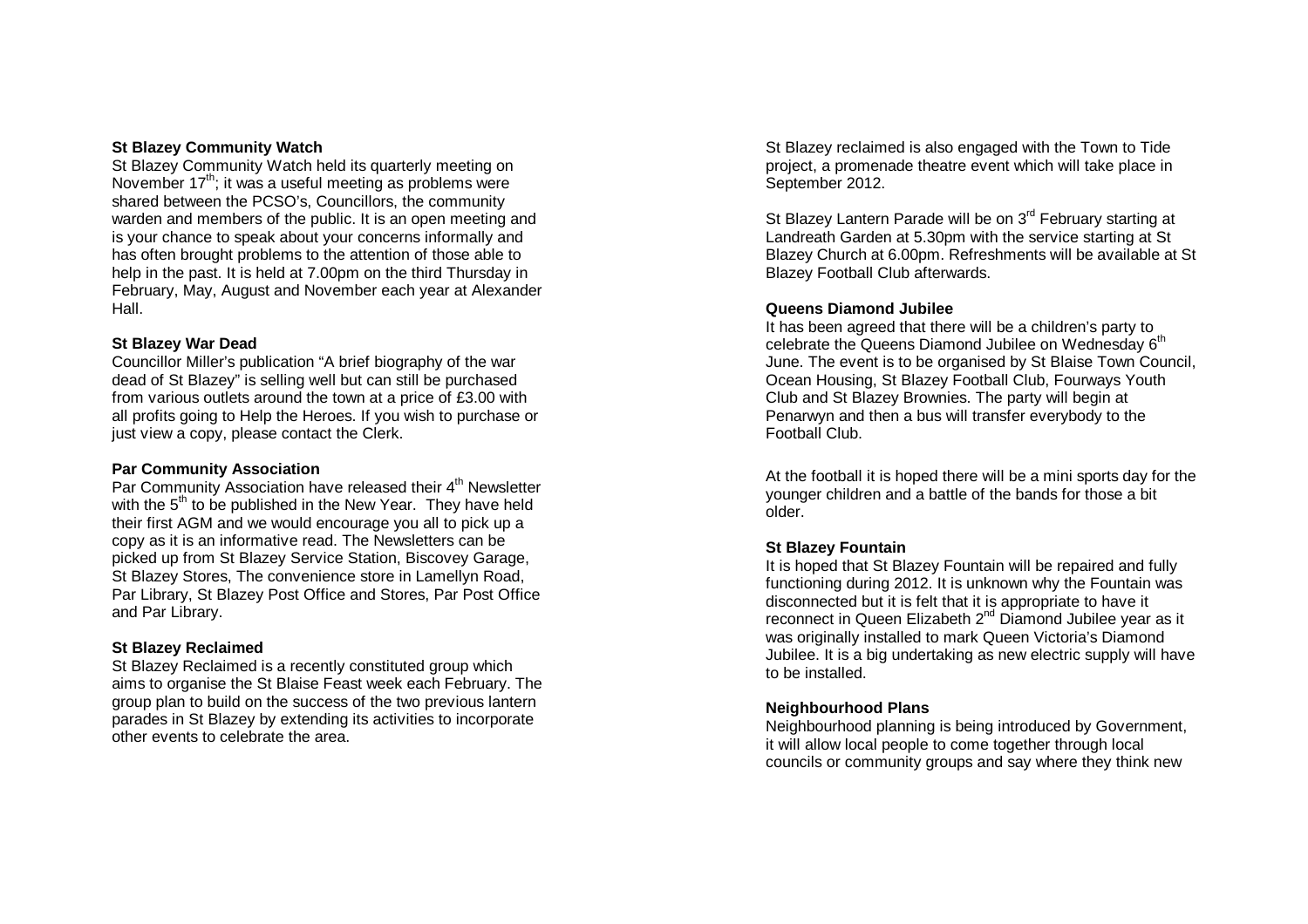#### **St Blazey Community Watch**

St Blazey Community Watch held its quarterly meeting on November  $17<sup>th</sup>$ ; it was a useful meeting as problems were shared between the PCSO's, Councillors, the community warden and members of the public. It is an open meeting and is your chance to speak about your concerns informally and has often brought problems to the attention of those able to help in the past. It is held at 7.00pm on the third Thursday in February, May, August and November each year at Alexander Hall.

### **St Blazey War Dead**

Councillor Miller's publication "A brief biography of the war dead of St Blazey" is selling well but can still be purchased from various outlets around the town at a price of £3.00 with all profits going to Help the Heroes. If you wish to purchase or just view a copy, please contact the Clerk.

#### **Par Community Association**

Par Community Association have released their 4<sup>th</sup> Newsletter with the 5<sup>th</sup> to be published in the New Year. They have held their first AGM and we would encourage you all to pick up a copy as it is an informative read. The Newsletters can be picked up from St Blazey Service Station, Biscovey Garage, St Blazey Stores, The convenience store in Lamellyn Road, Par Library, St Blazey Post Office and Stores, Par Post Office and Par Library.

### **St Blazey Reclaimed**

St Blazey Reclaimed is a recently constituted group which aims to organise the St Blaise Feast week each February. The group plan to build on the success of the two previous lantern parades in St Blazey by extending its activities to incorporate other events to celebrate the area.

St Blazey reclaimed is also engaged with the Town to Tide project, a promenade theatre event which will take place in September 2012.

St Blazey Lantern Parade will be on 3<sup>rd</sup> February starting at Landreath Garden at 5.30pm with the service starting at St Blazey Church at 6.00pm. Refreshments will be available at St Blazey Football Club afterwards.

#### **Queens Diamond Jubilee**

It has been agreed that there will be a children's party to celebrate the Queens Diamond Jubilee on Wednesday 6<sup>th</sup> June. The event is to be organised by St Blaise Town Council, Ocean Housing, St Blazey Football Club, Fourways Youth Club and St Blazey Brownies. The party will begin at Penarwyn and then a bus will transfer everybody to the Football Club.

At the football it is hoped there will be a mini sports day for the younger children and a battle of the bands for those a bit older.

### **St Blazey Fountain**

It is hoped that St Blazey Fountain will be repaired and fully functioning during 2012. It is unknown why the Fountain was disconnected but it is felt that it is appropriate to have it reconnect in Queen Elizabeth 2<sup>nd</sup> Diamond Jubilee year as it was originally installed to mark Queen Victoria's Diamond Jubilee. It is a big undertaking as new electric supply will have to be installed.

### **Neighbourhood Plans**

Neighbourhood planning is being introduced by Government, it will allow local people to come together through local councils or community groups and say where they think new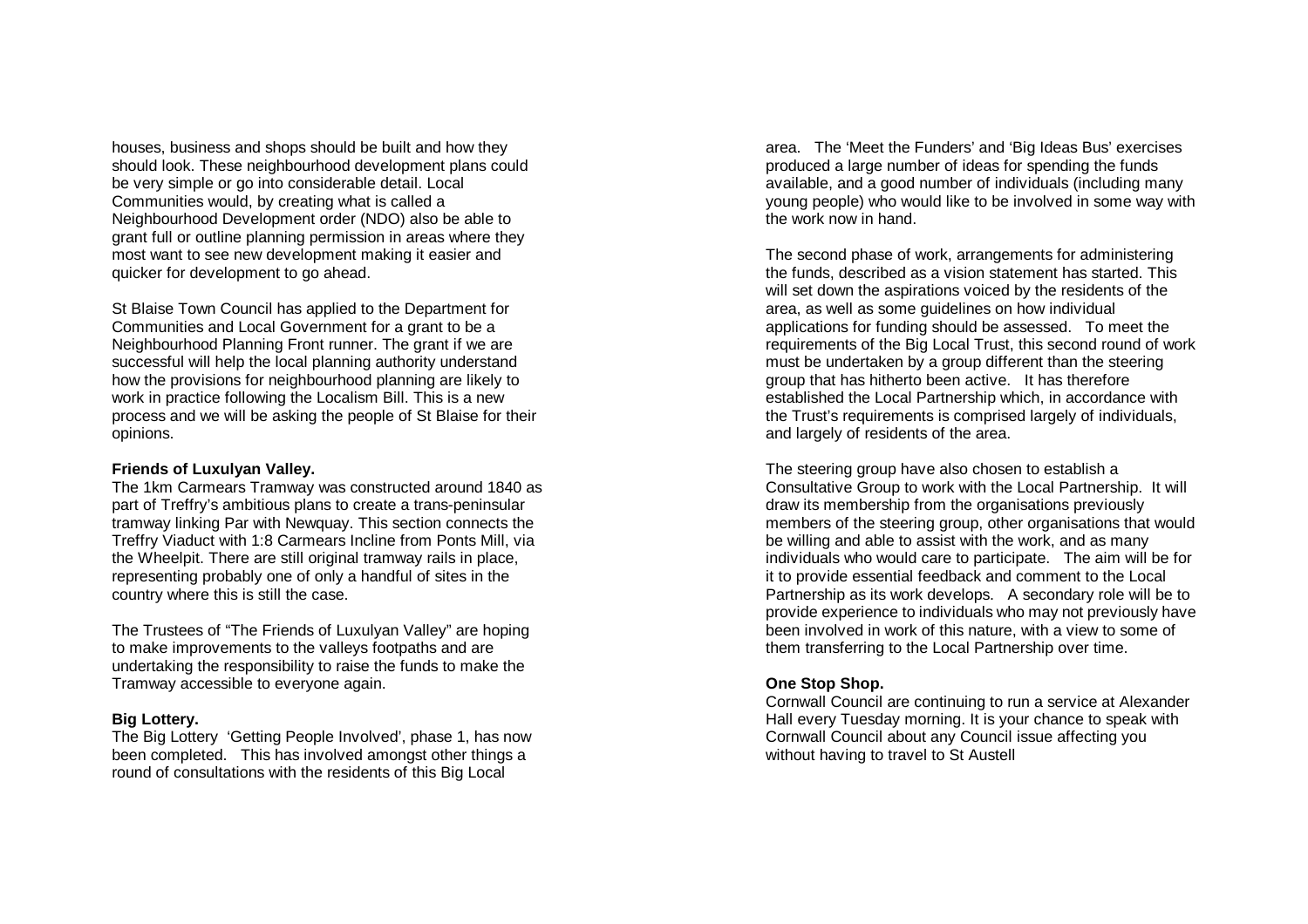houses, business and shops should be built and how they should look. These neighbourhood development plans could be very simple or go into considerable detail. Local Communities would, by creating what is called a Neighbourhood Development order (NDO) also be able to grant full or outline planning permission in areas where they most want to see new development making it easier and quicker for development to go ahead.

St Blaise Town Council has applied to the Department for Communities and Local Government for a grant to be a Neighbourhood Planning Front runner. The grant if we are successful will help the local planning authority understand how the provisions for neighbourhood planning are likely to work in practice following the Localism Bill. This is a new process and we will be asking the people of St Blaise for their opinions.

#### **Friends of Luxulyan Valley.**

The 1km Carmears Tramway was constructed around 1840 as part of Treffry's ambitious plans to create a trans -peninsular tramway linking Par with Newquay. This section connects the Treffry Viaduct with 1:8 Carmears Incline from Ponts Mill, via the Wheelpit. There are still original tramway rails in place, representing probably one of only a handful of sites in the country where this is still the case.

The Trustees of "The Friends of Luxulyan Valley" are hoping to make improvements to the valleys footpaths and are undertaking the responsibility to raise the funds to make the Tramway accessible to everyone again.

### **Big Lottery.**

The Big Lottery 'Getting People Involved', phase 1, has now been completed. This has involved amongst other things a round of consultations with the residents of this Big Local

area. The 'Meet the Funders' and 'Big Ideas Bus' exercises produced a large number of ideas for spending the funds available, and a good number of individuals (including many young people) who would like to be involved in some way with the work now in hand.

The second phase of work, arrangements for administering the funds, described as a vision statement has started. This will set down the aspirations voiced by the residents of the area, as well as some guidelines on how individual applications for funding should be assessed. To meet the requirements of the Big Local Trust, this second round of work must be undertaken by a group different than the steering group that has hitherto been active. It has therefore established the Local Partnership which, in accordance with the Trust's requirements is comprised largely of individuals, and largely of residents of the area.

The steering group have also chosen to establish a Consultative Group to work with the Local Partnership. It will draw its membership from the organisations previously members of the steering group, other organisations that would be willing and able to assist with the work, and as many individuals who would care to participate. The aim will be for it to provide essential feedback and comment to the Local Partnership as its work develops. A secondary role will be to provide experience to individuals who may not previously have been involved in work of this nature, with a view to some of them transferring to the Local Partnership over time.

## **One Stop Shop.**

Cornwall Council are continuing to run a service at Alexander Hall every Tuesday morning. It is your chance to speak with Cornwall Council about any Council issue affecting you without having to travel to St Austell